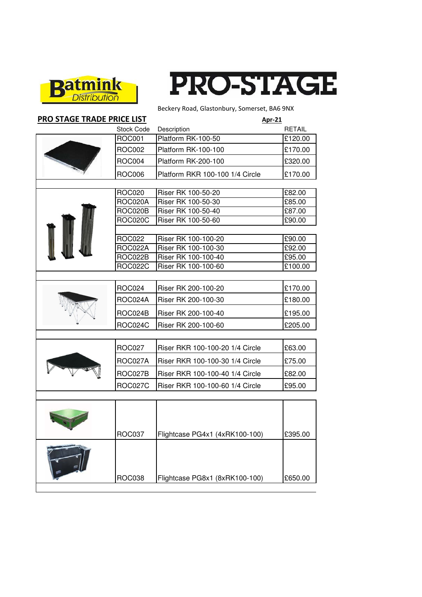

 $\overline{\phantom{a}}$ 



Beckery Road, Glastonbury, Somerset, BA6 9NX

| <b>PRO STAGE TRADE PRICE LIST</b> |                   | <b>Apr-21</b>                   |                       |
|-----------------------------------|-------------------|---------------------------------|-----------------------|
|                                   | <b>Stock Code</b> | Description                     | <b>RETAIL</b>         |
|                                   | <b>ROC001</b>     | Platform RK-100-50              | $\overline{£}$ 120.00 |
|                                   | <b>ROC002</b>     | Platform RK-100-100             | £170.00               |
|                                   | <b>ROC004</b>     | Platform RK-200-100             | £320.00               |
|                                   | <b>ROC006</b>     | Platform RKR 100-100 1/4 Circle | £170.00               |
|                                   | <b>ROC020</b>     | Riser RK 100-50-20              | £82.00                |
|                                   | ROC020A           | Riser RK 100-50-30              | £85.00                |
|                                   | ROC020B           | Riser RK 100-50-40              | £87.00                |
|                                   | <b>ROC020C</b>    | Riser RK 100-50-60              | £90.00                |
|                                   |                   |                                 |                       |
|                                   | <b>ROC022</b>     | Riser RK 100-100-20             | £90.00                |
|                                   | ROC022A           | Riser RK 100-100-30             | £92.00                |
|                                   | ROC022B           | Riser RK 100-100-40             | £95.00                |
|                                   | <b>ROC022C</b>    | Riser RK 100-100-60             | £100.00               |
|                                   |                   |                                 |                       |
|                                   | <b>ROC024</b>     | Riser RK 200-100-20             | £170.00               |
|                                   | ROC024A           | Riser RK 200-100-30             | £180.00               |
|                                   | ROC024B           | Riser RK 200-100-40             | £195.00               |
|                                   | <b>ROC024C</b>    | Riser RK 200-100-60             | £205.00               |
|                                   |                   |                                 |                       |
|                                   | <b>ROC027</b>     | Riser RKR 100-100-20 1/4 Circle | £63.00                |
|                                   | ROC027A           | Riser RKR 100-100-30 1/4 Circle | £75.00                |
|                                   | ROC027B           | Riser RKR 100-100-40 1/4 Circle | £82.00                |
|                                   | <b>ROC027C</b>    | Riser RKR 100-100-60 1/4 Circle | £95.00                |
|                                   |                   |                                 |                       |
|                                   | ROC037            | Flightcase PG4x1 (4xRK100-100)  | £395.00               |
|                                   | <b>ROC038</b>     | Flightcase PG8x1 (8xRK100-100)  | £650.00               |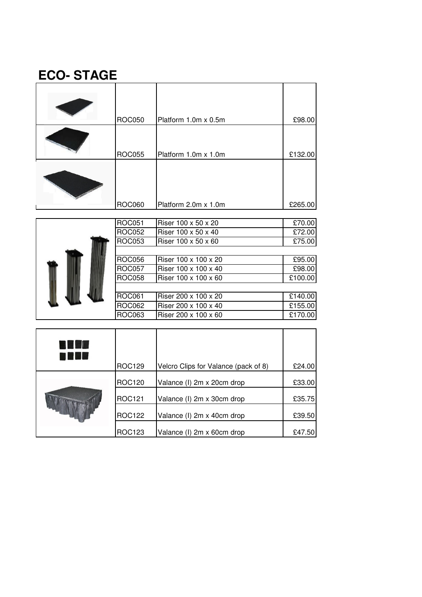## **ECO- STAGE**

| <b>ROC050</b> | Platform 1.0m x 0.5m | £98.00  |
|---------------|----------------------|---------|
| <b>ROC055</b> | Platform 1.0m x 1.0m | £132.00 |
| <b>ROC060</b> | Platform 2.0m x 1.0m | £265.00 |

|  |               | <b>ROC051</b>        | Riser 100 x 50 x 20  | £70.00  |
|--|---------------|----------------------|----------------------|---------|
|  | <b>ROC052</b> | Riser 100 x 50 x 40  | £72.00               |         |
|  | <b>ROC053</b> | Riser 100 x 50 x 60  | £75.00               |         |
|  |               |                      |                      |         |
|  |               | <b>ROC056</b>        | Riser 100 x 100 x 20 | £95.00  |
|  | <b>ROC057</b> | Riser 100 x 100 x 40 | £98.00               |         |
|  | <b>ROC058</b> | Riser 100 x 100 x 60 | £100.00              |         |
|  |               |                      |                      |         |
|  |               | <b>ROC061</b>        | Riser 200 x 100 x 20 | £140.00 |
|  |               | <b>ROC062</b>        | Riser 200 x 100 x 40 | £155.00 |
|  |               | ROC063               | Riser 200 x 100 x 60 | £170.00 |

| 866<br>E TIB | <b>ROC129</b> | Velcro Clips for Valance (pack of 8) | £24.00 |
|--------------|---------------|--------------------------------------|--------|
|              | <b>ROC120</b> | Valance (I) 2m x 20cm drop           | £33.00 |
|              | ROC121        | Valance (I) 2m x 30cm drop           | £35.75 |
|              | ROC122        | Valance (I) 2m x 40cm drop           | £39.50 |
|              | <b>ROC123</b> | Valance (I) 2m x 60cm drop           | £47.50 |